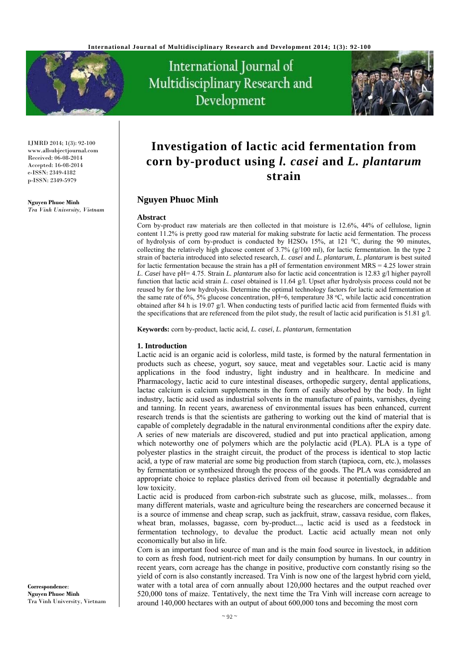

IJMRD 2014; 1(3): 92-100 www.allsubjectjournal.com Received: 06-08-2014 Accepted: 16-08-2014 e-ISSN: 2349-4182 p-ISSN: 2349-5979

**Nguyen Phuoc Minh** *Tra Vinh University, Vietnam* 

**Correspondence**: **Nguyen Phuoc Minh** Tra Vinh University, Vietnam

International Journal of Multidisciplinary Research and Development



# **Investigation of lactic acid fermentation from corn by-product using** *l. casei* **and** *L. plantarum* **strain**

## **Nguyen Phuoc Minh**

## **Abstract**

Corn by-product raw materials are then collected in that moisture is 12.6%, 44% of cellulose, lignin content 11.2% is pretty good raw material for making substrate for lactic acid fermentation. The process of hydrolysis of corn by-product is conducted by H2SO<sub>4</sub> 15%, at 121 <sup>0</sup>C, during the 90 minutes, collecting the relatively high glucose content of 3.7% (g/100 ml), for lactic fermentation. In the type 2 strain of bacteria introduced into selected research, *L*. *casei* and *L. plantarum*, *L. plantarum* is best suited for lactic fermentation because the strain has a pH of fermentation environment MRS = 4.25 lower strain *L*. *Casei* have pH= 4.75. Strain *L. plantarum* also for lactic acid concentration is 12.83 g/l higher payroll function that lactic acid strain *L*. *casei* obtained is 11.64 g/l. Upset after hydrolysis process could not be reused by for the low hydrolysis. Determine the optimal technology factors for lactic acid fermentation at the same rate of 6%, 5% glucose concentration, pH=6, temperature 38  $^{\circ}$ C, while lactic acid concentration obtained after 84 h is 19.07 g/l. When conducting tests of purified lactic acid from fermented fluids with the specifications that are referenced from the pilot study, the result of lactic acid purification is 51.81 g/l.

**Keywords:** corn by-product, lactic acid, *L. casei*, *L. plantarum*, fermentation

## **1. Introduction**

Lactic acid is an organic acid is colorless, mild taste, is formed by the natural fermentation in products such as cheese, yogurt, soy sauce, meat and vegetables sour. Lactic acid is many applications in the food industry, light industry and in healthcare. In medicine and Pharmacology, lactic acid to cure intestinal diseases, orthopedic surgery, dental applications, lactac calcium is calcium supplements in the form of easily absorbed by the body. In light industry, lactic acid used as industrial solvents in the manufacture of paints, varnishes, dyeing and tanning. In recent years, awareness of environmental issues has been enhanced, current research trends is that the scientists are gathering to working out the kind of material that is capable of completely degradable in the natural environmental conditions after the expiry date. A series of new materials are discovered, studied and put into practical application, among which noteworthy one of polymers which are the polylactic acid (PLA). PLA is a type of polyester plastics in the straight circuit, the product of the process is identical to stop lactic acid, a type of raw material are some big production from starch (tapioca, corn, etc.), molasses by fermentation or synthesized through the process of the goods. The PLA was considered an appropriate choice to replace plastics derived from oil because it potentially degradable and low toxicity.

Lactic acid is produced from carbon-rich substrate such as glucose, milk, molasses... from many different materials, waste and agriculture being the researchers are concerned because it is a source of immense and cheap scrap, such as jackfruit, straw, cassava residue, corn flakes, wheat bran, molasses, bagasse, corn by-product..., lactic acid is used as a feedstock in fermentation technology, to devalue the product. Lactic acid actually mean not only economically but also in life.

Corn is an important food source of man and is the main food source in livestock, in addition to corn as fresh food, nutrient-rich meet for daily consumption by humans. In our country in recent years, corn acreage has the change in positive, productive corn constantly rising so the yield of corn is also constantly increased. Tra Vinh is now one of the largest hybrid corn yield, water with a total area of corn annually about 120,000 hectares and the output reached over 520,000 tons of maize. Tentatively, the next time the Tra Vinh will increase corn acreage to around 140,000 hectares with an output of about 600,000 tons and becoming the most corn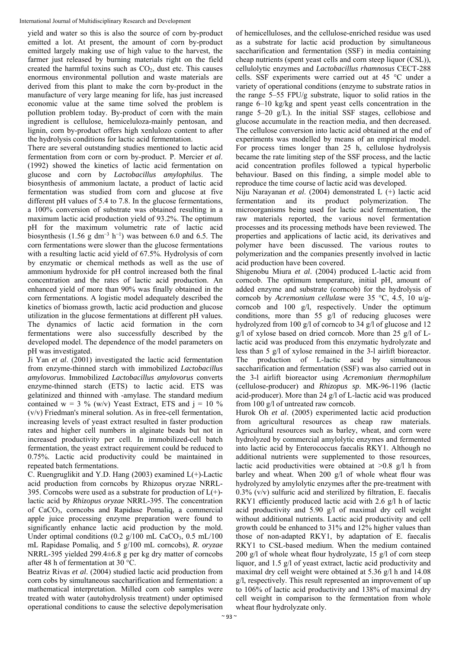yield and water so this is also the source of corn by-product emitted a lot. At present, the amount of corn by-product emitted largely making use of high value to the harvest, the farmer just released by burning materials right on the field created the harmful toxins such as  $CO<sub>2</sub>$ , dust etc. This causes enormous environmental pollution and waste materials are derived from this plant to make the corn by-product in the manufacture of very large meaning for life, has just increased economic value at the same time solved the problem is pollution problem today. By-product of corn with the main ingredient is cellulose, hemiceluloza-mainly pentosan, and lignin, corn by-product offers high xenlulozo content to after the hydrolysis conditions for lactic acid fermentation.

There are several outstanding studies mentioned to lactic acid fermentation from corn or corn by-product. P. Mercier *et al*. (1992) showed the kinetics of lactic acid fermentation on glucose and corn by *Lactobacillus amylophilus*. The biosynthesis of ammonium lactate, a product of lactic acid fermentation was studied from corn and glucose at five different pH values of 5.4 to 7.8. In the glucose fermentations, a 100% conversion of substrate was obtained resulting in a maximum lactic acid production yield of 93.2%. The optimum pH for the maximum volumetric rate of lactic acid biosynthesis (1.56 g dm<sup>-3</sup> h<sup>-1</sup>) was between 6.0 and 6.5. The corn fermentations were slower than the glucose fermentations with a resulting lactic acid yield of 67.5%. Hydrolysis of corn by enzymatic or chemical methods as well as the use of ammonium hydroxide for pH control increased both the final concentration and the rates of lactic acid production. An enhanced yield of more than 90% was finally obtained in the corn fermentations. A logistic model adequately described the kinetics of biomass growth, lactic acid production and glucose utilization in the glucose fermentations at different pH values. The dynamics of lactic acid formation in the corn fermentations were also successfully described by the developed model. The dependence of the model parameters on pH was investigated.

Ji Yan *et al*. (2001) investigated the lactic acid fermentation from enzyme-thinned starch with immobilized *Lactobacillus amylovorus*. Immobilized *Lactobacillus amylovorus* converts enzyme-thinned starch (ETS) to lactic acid. ETS was gelatinized and thinned with -amylase. The standard medium contained  $w = 3 \% (w/v)$  Yeast Extract, ETS and  $j = 10 \%$ (v/v) Friedman's mineral solution. As in free-cell fermentation, increasing levels of yeast extract resulted in faster production rates and higher cell numbers in alginate beads but not in increased productivity per cell. In immobilized-cell batch fermentation, the yeast extract requirement could be reduced to 0.75%. Lactic acid productivity could be maintained in repeated batch fermentations.

C. Ruengruglikit and Y.D. Hang (2003) examined L(+)-Lactic acid production from corncobs by Rhizopus oryzae NRRL-395. Corncobs were used as a substrate for production of  $L(+)$ lactic acid by *Rhizopus oryzae* NRRL-395. The concentration of CaCO3, corncobs and Rapidase Pomaliq, a commercial apple juice processing enzyme preparation were found to significantly enhance lactic acid production by the mold. Under optimal conditions  $(0.2 \text{ g}/100 \text{ mL CaCO}_3, 0.5 \text{ mL}/100$ mL Rapidase Pomaliq, and 5 g/100 mL corncobs), *R. oryzae* NRRL-395 yielded 299.4±6.8 g per kg dry matter of corncobs after 48 h of fermentation at 30 °C.

Beatriz Rivas *et al*. (2004) studied lactic acid production from corn cobs by simultaneous saccharification and fermentation: a mathematical interpretation. Milled corn cob samples were treated with water (autohydrolysis treatment) under optimised operational conditions to cause the selective depolymerisation

of hemicelluloses, and the cellulose-enriched residue was used as a substrate for lactic acid production by simultaneous saccharification and fermentation (SSF) in media containing cheap nutrients (spent yeast cells and corn steep liquor (CSL)), cellulolytic enzymes and *Lactobacillus rhamnosus* CECT-288 cells. SSF experiments were carried out at 45 °C under a variety of operational conditions (enzyme to substrate ratios in the range 5–55 FPU/g substrate, liquor to solid ratios in the range 6–10 kg/kg and spent yeast cells concentration in the range 5–20 g/L). In the initial SSF stages, cellobiose and glucose accumulate in the reaction media, and then decreased. The cellulose conversion into lactic acid obtained at the end of experiments was modelled by means of an empirical model. For process times longer than 25 h, cellulose hydrolysis became the rate limiting step of the SSF process, and the lactic acid concentration profiles followed a typical hyperbolic behaviour. Based on this finding, a simple model able to reproduce the time course of lactic acid was developed.

Niju Narayanan *et al*. (2004) demonstrated L (+) lactic acid fermentation and its product polymerization. The microorganisms being used for lactic acid fermentation, the raw materials reported, the various novel fermentation processes and its processing methods have been reviewed. The properties and applications of lactic acid, its derivatives and polymer have been discussed. The various routes to polymerization and the companies presently involved in lactic acid production have been covered.

Shigenobu Miura *et al*. (2004) produced L-lactic acid from corncob. The optimum temperature, initial pH, amount of added enzyme and substrate (corncob) for the hydrolysis of corncob by *Acremonium cellulase* were 35 °C, 4.5, 10 u/gcorncob and 100 g/l, respectively. Under the optimum conditions, more than 55 g/l of reducing glucoses were hydrolyzed from 100 g/l of corncob to 34 g/l of glucose and 12 g/l of xylose based on dried corncob. More than 25 g/l of Llactic acid was produced from this enzymatic hydrolyzate and less than 5 g/l of xylose remained in the 3-l airlift bioreactor. The production of L-lactic acid by simultaneous saccharification and fermentation (SSF) was also carried out in the 3-l airlift bioreactor using *Acremonium thermophilum*  (cellulose-producer) and *Rhizopus sp*. MK-96-1196 (lactic acid-producer). More than 24 g/l of L-lactic acid was produced from 100 g/l of untreated raw corncob.

Hurok Oh *et al*. (2005) experimented lactic acid production from agricultural resources as cheap raw materials. Agricultural resources such as barley, wheat, and corn were hydrolyzed by commercial amylolytic enzymes and fermented into lactic acid by Enterococcus faecalis RKY1. Although no additional nutrients were supplemented to those resources, lactic acid productivities were obtained at  $>0.8$  g/l h from barley and wheat. When 200 g/l of whole wheat flour was hydrolyzed by amylolytic enzymes after the pre-treatment with  $0.3\%$  (v/v) sulfuric acid and sterilized by filtration, E. faecalis RKY1 efficiently produced lactic acid with 2.6 g/l h of lactic acid productivity and 5.90 g/l of maximal dry cell weight without additional nutrients. Lactic acid productivity and cell growth could be enhanced to 31% and 12% higher values than those of non-adapted RKY1, by adaptation of E. faecalis RKY1 to CSL-based medium. When the medium contained 200 g/l of whole wheat flour hydrolyzate, 15 g/l of corn steep liquor, and 1.5 g/l of yeast extract, lactic acid productivity and maximal dry cell weight were obtained at 5.36 g/l h and 14.08 g/l, respectively. This result represented an improvement of up to 106% of lactic acid productivity and 138% of maximal dry cell weight in comparison to the fermentation from whole wheat flour hydrolyzate only.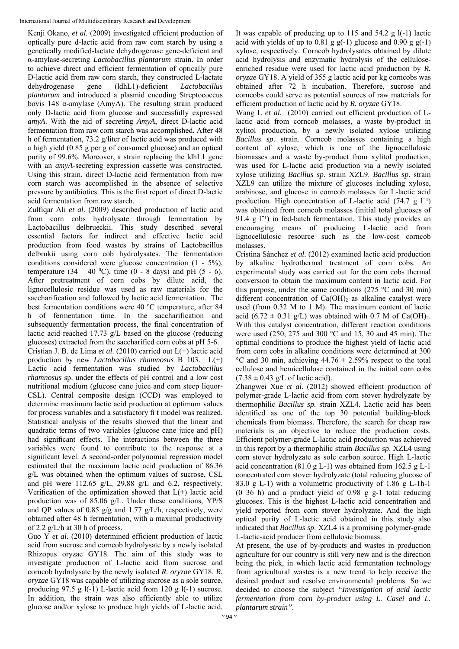Kenji Okano, *et al*. (2009) investigated efficient production of optically pure d-lactic acid from raw corn starch by using a genetically modified-lactate dehydrogenase gene-deficient and α-amylase-secreting *Lactobacillus plantarum* strain. In order to achieve direct and efficient fermentation of optically pure D-lactic acid from raw corn starch, they constructed L-lactate dehydrogenase gene (ldhL1)-deficient *Lactobacillus plantarum* and introduced a plasmid encoding Streptococcus bovis 148 α-amylase (AmyA). The resulting strain produced only D-lactic acid from glucose and successfully expressed *amyA*. With the aid of secreting *AmyA*, direct D-lactic acid fermentation from raw corn starch was accomplished. After 48 h of fermentation, 73.2 g/liter of lactic acid was produced with a high yield (0.85 g per g of consumed glucose) and an optical purity of 99.6%. Moreover, a strain replacing the ldhL1 gene with an *amyA*-secreting expression cassette was constructed. Using this strain, direct D-lactic acid fermentation from raw corn starch was accomplished in the absence of selective pressure by antibiotics. This is the first report of direct D-lactic acid fermentation from raw starch.

Zulfiqar Ali *et al*. (2009) described production of lactic acid from corn cobs hydrolysate through fermentation by Lactobacillus delbrueckii. This study described several essential factors for indirect and effective lactic acid production from food wastes by strains of Lactobacillus delbrukii using corn cob hydrolysates. The fermentation conditions considered were glucose concentration (1 - 5%), temperature  $(34 - 40^{\circ}$ C), time  $(0 - 8 \text{ days})$  and pH  $(5 - 6)$ . After pretreatment of corn cobs by dilute acid, the lignocellulosic residue was used as raw materials for the saccharification and followed by lactic acid fermentation. The best fermentation conditions were 40 °C temperature, after 84 h of fermentation time. In the saccharification and subsequently fermentation process, the final concentration of lactic acid reached 17.73 g/L based on the glucose (reducing glucoses) extracted from the saccharified corn cobs at pH 5-6. Cristian J. B. de Lima *et al*. (2010) carried out L(+) lactic acid production by new *Lactobacillus rhamnosus* B 103. L(+) Lactic acid fermentation was studied by *Lactobacillus rhamnosus* sp. under the effects of pH control and a low cost nutritional medium (glucose cane juice and corn steep liquor-CSL). Central composite design (CCD) was employed to determine maximum lactic acid production at optimum values for process variables and a satisfactory fi t model was realized. Statistical analysis of the results showed that the linear and quadratic terms of two variables (glucose cane juice and pH) had significant effects. The interactions between the three variables were found to contribute to the response at a significant level. A second-order polynomial regression model estimated that the maximum lactic acid production of 86.36 g/L was obtained when the optimum values of sucrose, CSL and pH were 112.65 g/L, 29.88 g/L and 6.2, respectively. Verification of the optimization showed that  $L(+)$  lactic acid production was of 85.06 g/L. Under these conditions, YP/S and QP values of 0.85  $g/g$  and 1.77  $g/L/h$ , respectively, were obtained after 48 h fermentation, with a maximal productivity of 2.2 g/L/h at 30 h of process.

Guo Y *et al*. (2010) determined efficient production of lactic acid from sucrose and corncob hydrolysate by a newly isolated Rhizopus oryzae GY18. The aim of this study was to investigate production of L-lactic acid from sucrose and corncob hydrolysate by the newly isolated *R. oryzae* GY18. *R. oryzae* GY18 was capable of utilizing sucrose as a sole source, producing 97.5 g l(-1) L-lactic acid from 120 g l(-1) sucrose. In addition, the strain was also efficiently able to utilize glucose and/or xylose to produce high yields of L-lactic acid.

It was capable of producing up to 115 and 54.2 g l(-1) lactic acid with yields of up to 0.81 g  $g(-1)$  glucose and 0.90 g  $g(-1)$ xylose, respectively. Corncob hydrolysates obtained by dilute acid hydrolysis and enzymatic hydrolysis of the celluloseenriched residue were used for lactic acid production by *R. oryzae* GY18. A yield of 355 g lactic acid per kg corncobs was obtained after 72 h incubation. Therefore, sucrose and corncobs could serve as potential sources of raw materials for efficient production of lactic acid by *R. oryzae* GY18.

Wang L *et al*. (2010) carried out efficient production of Llactic acid from corncob molasses, a waste by-product in xylitol production, by a newly isolated xylose utilizing *Bacillus sp*. strain. Corncob molasses containing a high content of xylose, which is one of the lignocellulosic biomasses and a waste by-product from xylitol production, was used for L-lactic acid production via a newly isolated xylose utilizing *Bacillus sp*. strain XZL9. *Bacillus sp*. strain XZL9 can utilize the mixture of glucoses including xylose, arabinose, and glucose in corncob molasses for L-lactic acid production. High concentration of L-lactic acid  $(74.7 \text{ g } l^{-1})$ was obtained from corncob molasses (initial total glucoses of 91.4 g  $l^{-1}$ ) in fed-batch fermentation. This study provides an encouraging means of producing L-lactic acid from lignocellulosic resource such as the low-cost corncob molasses.

Cristina Sánchez *et al*. (2012) examined lactic acid production by alkaline hydrothermal treatment of corn cobs. An experimental study was carried out for the corn cobs thermal conversion to obtain the maximum content in lactic acid. For this purpose, under the same conditions (275  $\degree$ C and 30 min) different concentration of  $Ca(OH)_2$  as alkaline catalyst were used (from 0.32 M to 1 M). The maximum content of lactic acid (6.72  $\pm$  0.31 g/L) was obtained with 0.7 M of Ca(OH)<sub>2</sub>. With this catalyst concentration, different reaction conditions were used (250, 275 and 300 °C and 15, 30 and 45 min). The optimal conditions to produce the highest yield of lactic acid from corn cobs in alkaline conditions were determined at 300 °C and 30 min, achieving  $44.76 \pm 2.59\%$  respect to the total cellulose and hemicellulose contained in the initial corn cobs  $(7.38 \pm 0.43 \text{ g/L of }1)$  actic acid).

Zhangwei Xue *et al*. (2012) showed efficient production of polymer-grade L-lactic acid from corn stover hydrolyzate by thermophilic *Bacillus sp*. strain XZL4. Lactic acid has been identified as one of the top 30 potential building-block chemicals from biomass. Therefore, the search for cheap raw materials is an objective to reduce the production costs. Efficient polymer-grade L-lactic acid production was achieved in this report by a thermophilic strain *Bacillus sp*. XZL4 using corn stover hydrolyzate as sole carbon source. High L-lactic acid concentration (81.0 g L-1) was obtained from 162.5 g L-1 concentrated corn stover hydrolyzate (total reducing glucose of 83.0 g L-1) with a volumetric productivity of 1.86 g L-1h-1 (0–36 h) and a product yield of 0.98 g g-1 total reducing glucoses. This is the highest L-lactic acid concentration and yield reported from corn stover hydrolyzate. And the high optical purity of L-lactic acid obtained in this study also indicated that *Bacillus sp*. XZL4 is a promising polymer-grade L-lactic-acid producer from cellulosic biomass.

At present, the use of by-products and wastes in production agriculture for our country is still very new and is the direction being the pick, in which lactic acid fermentation technology from agricultural wastes is a new trend to help receive the desired product and resolve environmental problems. So we decided to choose the subject *"Investigation of acid lactic fermentation from corn by-product using L. Casei and L. plantarum strain".*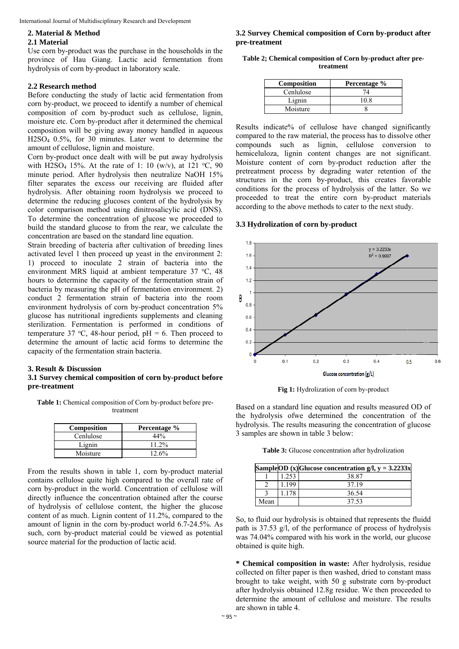## **2. Material & Method**

## **2.1 Material**

Use corn by-product was the purchase in the households in the province of Hau Giang. Lactic acid fermentation from hydrolysis of corn by-product in laboratory scale.

## **2.2 Research method**

Before conducting the study of lactic acid fermentation from corn by-product, we proceed to identify a number of chemical composition of corn by-product such as cellulose, lignin, moisture etc. Corn by-product after it determined the chemical composition will be giving away money handled in aqueous H2SO4 0.5%, for 30 minutes. Later went to determine the amount of cellulose, lignin and moisture.

Corn by-product once dealt with will be put away hydrolysis with H2SO<sub>4</sub> 15%. At the rate of 1: 10 (w/v), at 121 °C, 90 minute period. After hydrolysis then neutralize NaOH 15% filter separates the excess our receiving are fluided after hydrolysis. After obtaining room hydrolysis we proceed to determine the reducing glucoses content of the hydrolysis by color comparison method using dinitrosalicylic acid (DNS). To determine the concentration of glucose we proceeded to build the standard glucose to from the rear, we calculate the concentration are based on the standard line equation.

Strain breeding of bacteria after cultivation of breeding lines activated level 1 then proceed up yeast in the environment 2: 1) proceed to inoculate 2 strain of bacteria into the environment MRS liquid at ambient temperature  $37 °C$ ,  $48$ hours to determine the capacity of the fermentation strain of bacteria by measuring the pH of fermentation environment. 2) conduct 2 fermentation strain of bacteria into the room environment hydrolysis of corn by-product concentration 5% glucose has nutritional ingredients supplements and cleaning sterilization. Fermentation is performed in conditions of temperature 37 °C, 48-hour period,  $pH = 6$ . Then proceed to determine the amount of lactic acid forms to determine the capacity of the fermentation strain bacteria.

## **3. Result & Discussion**

## **3.1 Survey chemical composition of corn by-product before pre-treatment**

**Table 1:** Chemical composition of Corn by-product before pretreatment

| Composition | Percentage % |
|-------------|--------------|
| Cenlulose   | 44%          |
| Lignin      | 11.2%        |
| Moisture    | 12.6%        |

From the results shown in table 1, corn by-product material contains cellulose quite high compared to the overall rate of corn by-product in the world. Concentration of cellulose will directly influence the concentration obtained after the course of hydrolysis of cellulose content, the higher the glucose content of as much. Lignin content of 11.2%, compared to the amount of lignin in the corn by-product world 6.7-24.5%. As such, corn by-product material could be viewed as potential source material for the production of lactic acid.

## **3.2 Survey Chemical composition of Corn by-product after pre-treatment**

**Table 2; Chemical composition of Corn by-product after pretreatment** 

| Composition | Percentage % |
|-------------|--------------|
| Cenlulose   |              |
| Lignin      | 10 8         |
| Moisture    |              |

Results indicate% of cellulose have changed significantly compared to the raw material, the process has to dissolve other compounds such as lignin, cellulose conversion to hemiceluloza, lignin content changes are not significant. Moisture content of corn by-product reduction after the pretreatment process by degrading water retention of the structures in the corn by-product, this creates favorable conditions for the process of hydrolysis of the latter. So we proceeded to treat the entire corn by-product materials according to the above methods to cater to the next study.

## **3.3 Hydrolization of corn by-product**



Fig 1: Hydrolization of corn by-product

Based on a standard line equation and results measured OD of the hydrolysis ofwe determined the concentration of the hydrolysis. The results measuring the concentration of glucose 3 samples are shown in table 3 below:

**Table 3:** Glucose concentration after hydrolization

|      |        | SampleOD (x) Glucose concentration $g/l$ , $y = 3.2233x$ |
|------|--------|----------------------------------------------------------|
|      | $-253$ | 38.87                                                    |
|      | 1.199  | 37 19                                                    |
|      | 1.178  | 36.54                                                    |
| Mean |        | 37.53                                                    |

So, to fluid our hydrolysis is obtained that represents the fluidd path is 37.53 g/l, of the performance of process of hydrolysis was 74.04% compared with his work in the world, our glucose obtained is quite high.

**\* Chemical composition in waste:** After hydrolysis, residue collected on filter paper is then washed, dried to constant mass brought to take weight, with 50 g substrate corn by-product after hydrolysis obtained 12.8g residue. We then proceeded to determine the amount of cellulose and moisture. The results are shown in table 4.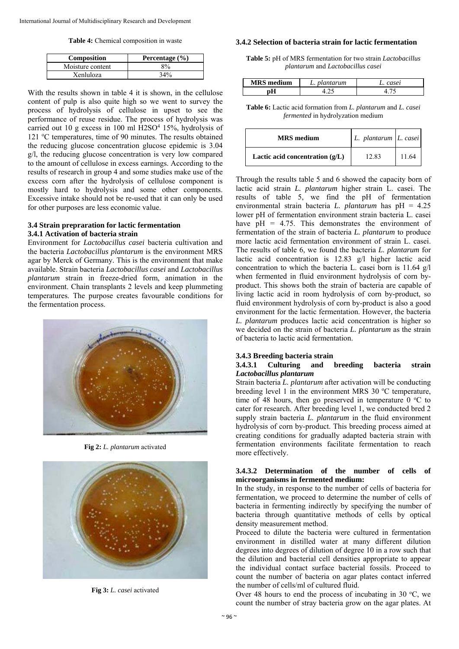**Table 4:** Chemical composition in waste

| <b>Composition</b> | Percentage $(\% )$ |
|--------------------|--------------------|
| Moisture content   | 8%                 |
| Xenluloza          | 34%                |

With the results shown in table 4 it is shown, in the cellulose content of pulp is also quite high so we went to survey the process of hydrolysis of cellulose in upset to see the performance of reuse residue. The process of hydrolysis was carried out 10 g excess in 100 ml H2SO<sup>4</sup> 15%, hydrolysis of 121 °C temperatures, time of 90 minutes. The results obtained the reducing glucose concentration glucose epidemic is 3.04 g/l, the reducing glucose concentration is very low compared to the amount of cellulose in excess earnings. According to the results of research in group 4 and some studies make use of the excess corn after the hydrolysis of cellulose component is mostly hard to hydrolysis and some other components. Excessive intake should not be re-used that it can only be used for other purposes are less economic value.

## **3.4 Strain prepraration for lactic fermentation 3.4.1 Activation of bacteria strain**

Environment for *Lactobacillus casei* bacteria cultivation and the bacteria *Lactobacillus plantarum* is the environment MRS agar by Merck of Germany. This is the environment that make available. Strain bacteria *Lactobacillus casei* and *Lactobacillus plantarum* strain in freeze-dried form, animation in the environment. Chain transplants 2 levels and keep plummeting temperatures. The purpose creates favourable conditions for the fermentation process.



**Fig 2:** *L. plantarum* activated



**Fig 3:** *L. casei* activated

## **3.4.2 Selection of bacteria strain for lactic fermentation**

**Table 5:** pH of MRS fermentation for two strain *Lactobacillus plantarum* and *Lactobacillus casei* 

| <b>MRS</b> medium<br>L. plantarum |  | L. casei |
|-----------------------------------|--|----------|
|                                   |  |          |

**Table 6:** Lactic acid formation from *L. plantarum* and *L. casei fermented* in hydrolyzation medium

| <b>MRS</b> medium                 | L. plantarum L. casei |       |
|-----------------------------------|-----------------------|-------|
| Lactic acid concentration $(g/L)$ | 12.83                 | 11 64 |

Through the results table 5 and 6 showed the capacity born of lactic acid strain *L. plantarum* higher strain L. casei. The results of table 5, we find the pH of fermentation environmental strain bacteria *L. plantarum* has pH = 4.25 lower pH of fermentation environment strain bacteria L. casei have  $pH = 4.75$ . This demonstrates the environment of fermentation of the strain of bacteria *L. plantarum* to produce more lactic acid fermentation environment of strain L. casei. The results of table 6, we found the bacteria *L. plantarum* for lactic acid concentration is 12.83 g/l higher lactic acid concentration to which the bacteria L. casei born is 11.64 g/l when fermented in fluid environment hydrolysis of corn byproduct. This shows both the strain of bacteria are capable of living lactic acid in room hydrolysis of corn by-product, so fluid environment hydrolysis of corn by-product is also a good environment for the lactic fermentation. However, the bacteria *L. plantarum* produces lactic acid concentration is higher so we decided on the strain of bacteria *L. plantarum* as the strain of bacteria to lactic acid fermentation.

## **3.4.3 Breeding bacteria strain**

## **3.4.3.1 Culturing and breeding bacteria strain**  *Lactobacillus plantarum*

Strain bacteria *L. plantarum* after activation will be conducting breeding level 1 in the environment MRS 30 $\degree$ C temperature, time of 48 hours, then go preserved in temperature  $0^{\circ}$ C to cater for research. After breeding level 1, we conducted bred 2 supply strain bacteria *L. plantarum* in the fluid environment hydrolysis of corn by-product. This breeding process aimed at creating conditions for gradually adapted bacteria strain with fermentation environments facilitate fermentation to reach more effectively.

## **3.4.3.2 Determination of the number of cells of microorganisms in fermented medium:**

In the study, in response to the number of cells of bacteria for fermentation, we proceed to determine the number of cells of bacteria in fermenting indirectly by specifying the number of bacteria through quantitative methods of cells by optical density measurement method.

Proceed to dilute the bacteria were cultured in fermentation environment in distilled water at many different dilution degrees into degrees of dilution of degree 10 in a row such that the dilution and bacterial cell densities appropriate to appear the individual contact surface bacterial fossils. Proceed to count the number of bacteria on agar plates contact inferred the number of cells/ml of cultured fluid.

Over 48 hours to end the process of incubating in 30  $\degree$ C, we count the number of stray bacteria grow on the agar plates. At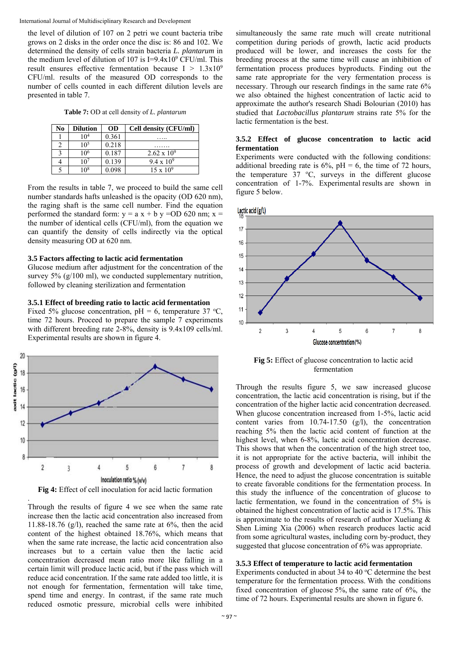the level of dilution of 107 on 2 petri we count bacteria tribe grows on 2 disks in the order once the disc is: 86 and 102. We determined the density of cells strain bacteria *L. plantarum* in the medium level of dilution of 107 is  $I=9.4x10^9$  CFU/ml. This result ensures effective fermentation because  $I > 1.3x10^9$ CFU/ml. results of the measured OD corresponds to the number of cells counted in each different dilution levels are presented in table 7.

**Table 7:** OD at cell density of *L. plantarum* 

| No | <b>Dilution</b> | <b>OD</b> | Cell density (CFU/ml) |
|----|-----------------|-----------|-----------------------|
|    | 10 <sup>4</sup> | 0.361     |                       |
|    | 10 <sup>5</sup> | 0.218     |                       |
|    | 106             | 0.187     | $2.62 \times 10^{9}$  |
|    | 107             | 0.139     | $9.4 \times 10^{9}$   |
|    | 108             | 0.098     | $15 \times 10^{9}$    |

From the results in table 7, we proceed to build the same cell number standards hafts unleashed is the opacity (OD 620 nm), the raging shaft is the same cell number. Find the equation performed the standard form:  $y = a x + b y = OD 620$  nm;  $x =$ the number of identical cells (CFU/ml), from the equation we can quantify the density of cells indirectly via the optical density measuring OD at 620 nm.

## **3.5 Factors affecting to lactic acid fermentation**

Glucose medium after adjustment for the concentration of the survey  $5\%$  (g/100 ml), we conducted supplementary nutrition, followed by cleaning sterilization and fermentation

## **3.5.1 Effect of breeding ratio to lactic acid fermentation**

Fixed 5% glucose concentration,  $pH = 6$ , temperature 37 °C, time 72 hours. Proceed to prepare the sample 7 experiments with different breeding rate 2-8%, density is 9.4x109 cells/ml. Experimental results are shown in figure 4.



Through the results of figure 4 we see when the same rate increase then the lactic acid concentration also increased from 11.88-18.76 (g/l), reached the same rate at  $6\%$ , then the acid content of the highest obtained 18.76%, which means that when the same rate increase, the lactic acid concentration also increases but to a certain value then the lactic acid concentration decreased mean ratio more like falling in a certain limit will produce lactic acid, but if the pass which will reduce acid concentration. If the same rate added too little, it is not enough for fermentation, fermentation will take time, spend time and energy. In contrast, if the same rate much reduced osmotic pressure, microbial cells were inhibited

simultaneously the same rate much will create nutritional competition during periods of growth, lactic acid products produced will be lower, and increases the costs for the breeding process at the same time will cause an inhibition of fermentation process produces byproducts. Finding out the same rate appropriate for the very fermentation process is necessary. Through our research findings in the same rate 6% we also obtained the highest concentration of lactic acid to approximate the author's research Shadi Bolourian (2010) has studied that *Lactobacillus plantarum* strains rate 5% for the lactic fermentation is the best.

## **3.5.2 Effect of glucose concentration to lactic acid fermentation**

Experiments were conducted with the following conditions: additional breeding rate is  $6\%$ ,  $pH = 6$ , the time of 72 hours, the temperature  $37 \text{ °C}$ , surveys in the different glucose concentration of 1-7%. Experimental results are shown in figure 5 below.



**Fig 5:** Effect of glucose concentration to lactic acid fermentation

Through the results figure 5, we saw increased glucose concentration, the lactic acid concentration is rising, but if the concentration of the higher lactic acid concentration decreased. When glucose concentration increased from 1-5%, lactic acid content varies from 10.74-17.50 (g/l), the concentration reaching 5% then the lactic acid content of function at the highest level, when 6-8%, lactic acid concentration decrease. This shows that when the concentration of the high street too, it is not appropriate for the active bacteria, will inhibit the process of growth and development of lactic acid bacteria. Hence, the need to adjust the glucose concentration is suitable to create favorable conditions for the fermentation process. In this study the influence of the concentration of glucose to lactic fermentation, we found in the concentration of 5% is obtained the highest concentration of lactic acid is 17.5%. This is approximate to the results of research of author Xueliang & Shen Liming Xia (2006) when research produces lactic acid from some agricultural wastes, including corn by-product, they suggested that glucose concentration of 6% was appropriate.

## **3.5.3 Effect of temperature to lactic acid fermentation**

Experiments conducted in about 34 to 40  $\degree$ C determine the best temperature for the fermentation process. With the conditions fixed concentration of glucose 5%, the same rate of 6%, the time of 72 hours. Experimental results are shown in figure 6.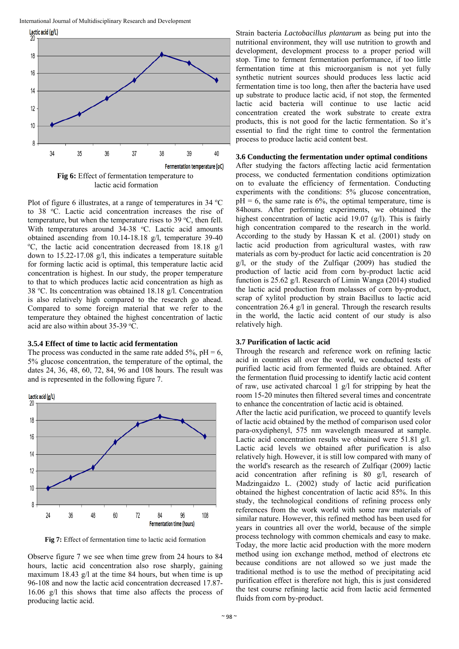

Plot of figure 6 illustrates, at a range of temperatures in  $34 °C$ to 38 °C. Lactic acid concentration increases the rise of temperature, but when the temperature rises to  $39 \text{ °C}$ , then fell. With temperatures around 34-38 °C. Lactic acid amounts obtained ascending from 10.14-18.18 g/l, temperature 39-40 <sup>o</sup>C, the lactic acid concentration decreased from 18.18 g/l down to 15.22-17.08 g/l, this indicates a temperature suitable for forming lactic acid is optimal, this temperature lactic acid concentration is highest. In our study, the proper temperature to that to which produces lactic acid concentration as high as 38 °C. Its concentration was obtained 18.18 g/l. Concentration is also relatively high compared to the research go ahead.

Compared to some foreign material that we refer to the temperature they obtained the highest concentration of lactic acid are also within about 35-39 °C.

## **3.5.4 Effect of time to lactic acid fermentation**

The process was conducted in the same rate added 5%,  $pH = 6$ , 5% glucose concentration, the temperature of the optimal, the dates 24, 36, 48, 60, 72, 84, 96 and 108 hours. The result was and is represented in the following figure 7.



**Fig 7:** Effect of fermentation time to lactic acid formation

Observe figure 7 we see when time grew from 24 hours to 84 hours, lactic acid concentration also rose sharply, gaining maximum 18.43 g/l at the time 84 hours, but when time is up 96-108 and now the lactic acid concentration decreased 17.87- 16.06 g/l this shows that time also affects the process of producing lactic acid.

Strain bacteria *Lactobacillus plantarum* as being put into the nutritional environment, they will use nutrition to growth and development, development process to a proper period will stop. Time to ferment fermentation performance, if too little fermentation time at this microorganism is not yet fully synthetic nutrient sources should produces less lactic acid fermentation time is too long, then after the bacteria have used up substrate to produce lactic acid, if not stop, the fermented lactic acid bacteria will continue to use lactic acid concentration created the work substrate to create extra products, this is not good for the lactic fermentation. So it's essential to find the right time to control the fermentation process to produce lactic acid content best.

#### **3.6 Conducting the fermentation under optimal conditions**

After studying the factors affecting lactic acid fermentation process, we conducted fermentation conditions optimization on to evaluate the efficiency of fermentation. Conducting experiments with the conditions: 5% glucose concentration,  $pH = 6$ , the same rate is 6%, the optimal temperature, time is 84hours. After performing experiments, we obtained the highest concentration of lactic acid 19.07 (g/l). This is fairly high concentration compared to the research in the world. According to the study by Hassan K et al. (2001) study on lactic acid production from agricultural wastes, with raw materials as corn by-product for lactic acid concentration is 20 g/l, or the study of the Zulfiqar (2009) has studied the production of lactic acid from corn by-product lactic acid function is 25.62 g/l. Research of Limin Wanga (2014) studied the lactic acid production from molasses of corn by-product, scrap of xylitol production by strain Bacillus to lactic acid concentration 26.4 g/l in general. Through the research results in the world, the lactic acid content of our study is also relatively high.

## **3.7 Purification of lactic acid**

Through the research and reference work on refining lactic acid in countries all over the world, we conducted tests of purified lactic acid from fermented fluids are obtained. After the fermentation fluid processing to identify lactic acid content of raw, use activated charcoal 1 g/l for stripping by heat the room 15-20 minutes then filtered several times and concentrate to enhance the concentration of lactic acid is obtained.

After the lactic acid purification, we proceed to quantify levels of lactic acid obtained by the method of comparison used color para-oxydiphenyl, 575 nm wavelength measured at sample. Lactic acid concentration results we obtained were 51.81 g/l. Lactic acid levels we obtained after purification is also relatively high. However, it is still low compared with many of the world's research as the research of Zulfiqar (2009) lactic acid concentration after refining is 80 g/l, research of Madzingaidzo L. (2002) study of lactic acid purification obtained the highest concentration of lactic acid 85%. In this study, the technological conditions of refining process only references from the work world with some raw materials of similar nature. However, this refined method has been used for years in countries all over the world, because of the simple process technology with common chemicals and easy to make. Today, the more lactic acid production with the more modern method using ion exchange method, method of electrons etc because conditions are not allowed so we just made the traditional method is to use the method of precipitating acid purification effect is therefore not high, this is just considered the test course refining lactic acid from lactic acid fermented fluids from corn by-product.